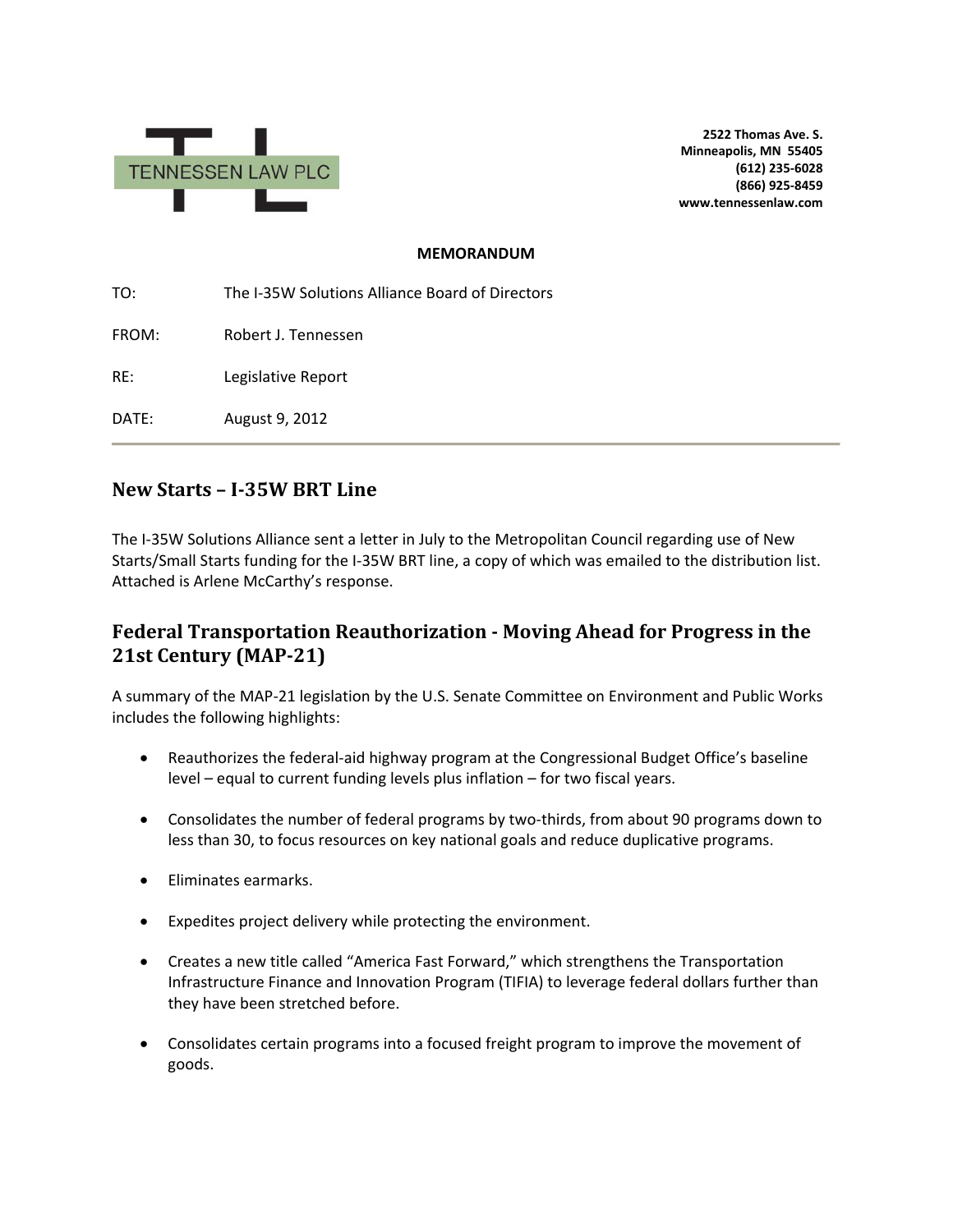

**2522 Thomas Ave. S. Minneapolis, MN 55405 (612) 235-6028 (866) 925-8459 www.tennessenlaw.com**

#### **MEMORANDUM**

TO: The I-35W Solutions Alliance Board of Directors FROM: Robert J. Tennessen RE: Legislative Report DATE: August 9, 2012

## **New Starts – I-35W BRT Line**

The I-35W Solutions Alliance sent a letter in July to the Metropolitan Council regarding use of New Starts/Small Starts funding for the I-35W BRT line, a copy of which was emailed to the distribution list. Attached is Arlene McCarthy's response.

## **Federal Transportation Reauthorization - Moving Ahead for Progress in the 21st Century (MAP-21)**

A summary of the MAP-21 legislation by the U.S. Senate Committee on Environment and Public Works includes the following highlights:

- Reauthorizes the federal-aid highway program at the Congressional Budget Office's baseline level – equal to current funding levels plus inflation – for two fiscal years.
- Consolidates the number of federal programs by two-thirds, from about 90 programs down to less than 30, to focus resources on key national goals and reduce duplicative programs.
- Eliminates earmarks.
- Expedites project delivery while protecting the environment.
- Creates a new title called "America Fast Forward," which strengthens the Transportation Infrastructure Finance and Innovation Program (TIFIA) to leverage federal dollars further than they have been stretched before.
- Consolidates certain programs into a focused freight program to improve the movement of goods.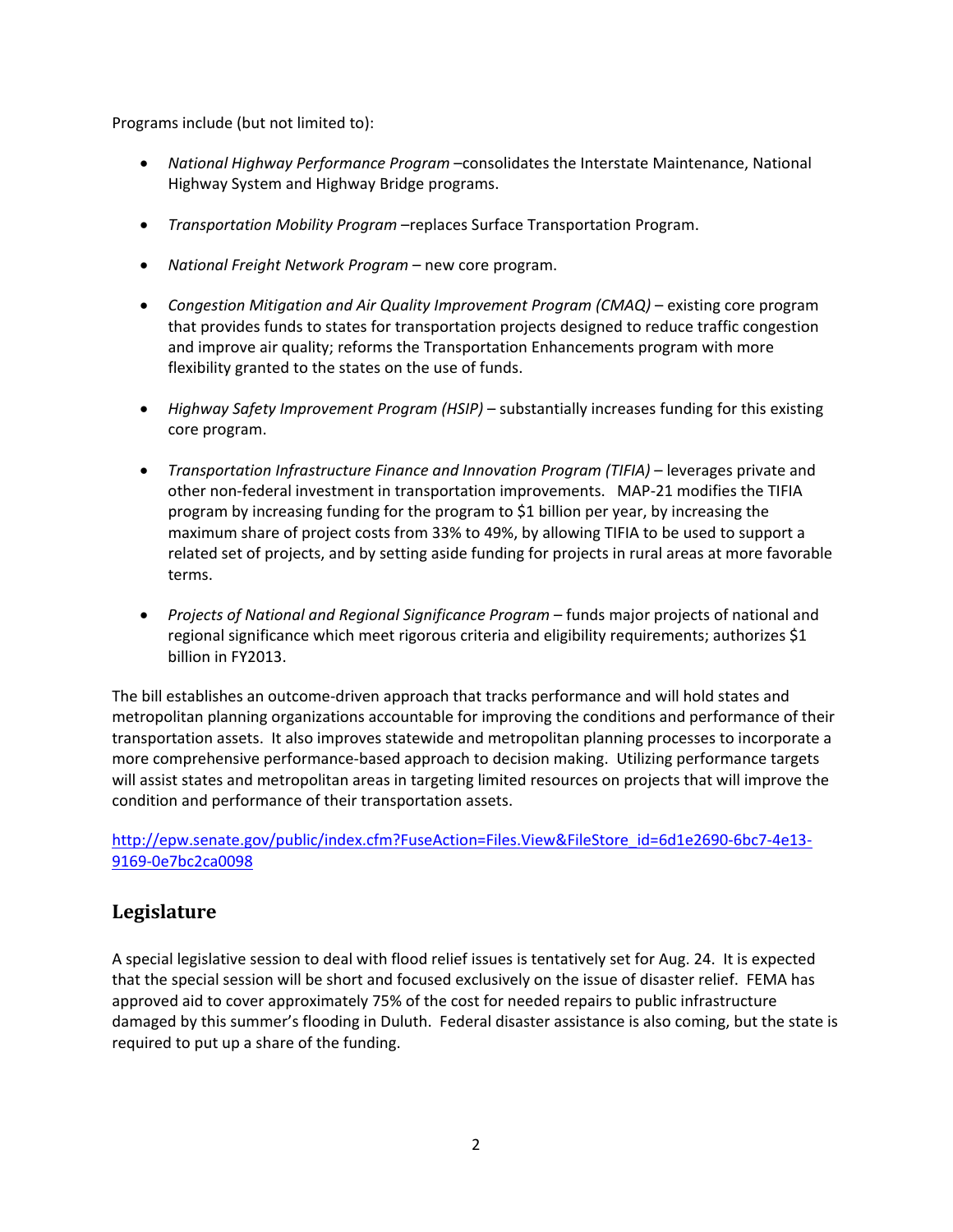Programs include (but not limited to):

- *National Highway Performance Program* –consolidates the Interstate Maintenance, National Highway System and Highway Bridge programs.
- *Transportation Mobility Program* –replaces Surface Transportation Program.
- *National Freight Network Program* new core program.
- *Congestion Mitigation and Air Quality Improvement Program (CMAQ)* existing core program that provides funds to states for transportation projects designed to reduce traffic congestion and improve air quality; reforms the Transportation Enhancements program with more flexibility granted to the states on the use of funds.
- *Highway Safety Improvement Program (HSIP)* substantially increases funding for this existing core program.
- *Transportation Infrastructure Finance and Innovation Program (TIFIA)* leverages private and other non-federal investment in transportation improvements. MAP-21 modifies the TIFIA program by increasing funding for the program to \$1 billion per year, by increasing the maximum share of project costs from 33% to 49%, by allowing TIFIA to be used to support a related set of projects, and by setting aside funding for projects in rural areas at more favorable terms.
- *Projects of National and Regional Significance Program* funds major projects of national and regional significance which meet rigorous criteria and eligibility requirements; authorizes \$1 billion in FY2013.

The bill establishes an outcome-driven approach that tracks performance and will hold states and metropolitan planning organizations accountable for improving the conditions and performance of their transportation assets. It also improves statewide and metropolitan planning processes to incorporate a more comprehensive performance-based approach to decision making. Utilizing performance targets will assist states and metropolitan areas in targeting limited resources on projects that will improve the condition and performance of their transportation assets.

[http://epw.senate.gov/public/index.cfm?FuseAction=Files.View&FileStore\\_id=6d1e2690-6bc7-4e13-](http://epw.senate.gov/public/index.cfm?FuseAction=Files.View&FileStore_id=6d1e2690-6bc7-4e13-9169-0e7bc2ca0098) [9169-0e7bc2ca0098](http://epw.senate.gov/public/index.cfm?FuseAction=Files.View&FileStore_id=6d1e2690-6bc7-4e13-9169-0e7bc2ca0098)

# **Legislature**

A special legislative session to deal with flood relief issues is tentatively set for Aug. 24. It is expected that the special session will be short and focused exclusively on the issue of disaster relief. FEMA has approved aid to cover approximately 75% of the cost for needed repairs to public infrastructure damaged by this summer's flooding in Duluth. Federal disaster assistance is also coming, but the state is required to put up a share of the funding.